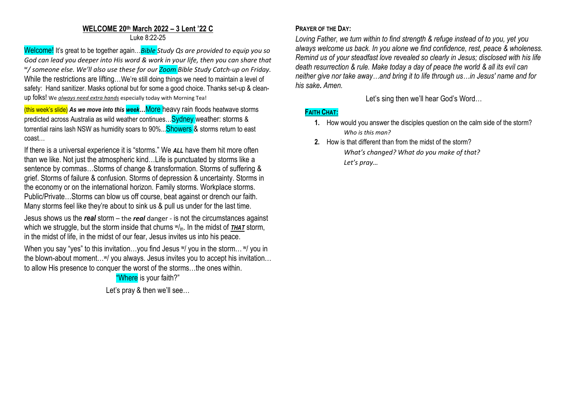### **WELCOME 20th March 2022 – 3 Lent '22 C** Luke 8:22-25

Welcome! It's great to be together again…*Bible Study Qs are provided to equip you so God can lead you deeper into His word & work in your life, then you can share that w / someone else. We'll also use these for our Zoom Bible Study Catch-up on Friday.* While the restrictions are lifting...We're still doing things we need to maintain a level of safety: Hand sanitizer. Masks optional but for some a good choice. Thanks set-up & cleanup folks! We *always need extra hands* especially today with Morning Tea!

(this week's slide) *As we move into this week…*More heavy rain floods heatwave storms predicted across Australia as wild weather continues... Sydney weather: storms & torrential rains lash NSW as humidity soars to 90%... Showers & storms return to east coast…

If there is a universal experience it is "storms." We *ALL* have them hit more often than we like. Not just the atmospheric kind…Life is punctuated by storms like a sentence by commas…Storms of change & transformation. Storms of suffering & grief. Storms of failure & confusion. Storms of depression & uncertainty. Storms in the economy or on the international horizon. Family storms. Workplace storms. Public/Private…Storms can blow us off course, beat against or drench our faith. Many storms feel like they're about to sink us & pull us under for the last time.

Jesus shows us the *real* storm – the *real* danger - is not the circumstances against which we struggle, but the storm inside that churns  $w_{in}$ . In the midst of **THAT** storm, in the midst of life, in the midst of our fear, Jesus invites us into his peace.

When you say "yes" to this invitation...you find Jesus W you in the storm... W you in the blown-about moment...<sup>w</sup>/ you always. Jesus invites you to accept his invitation... to allow His presence to conquer the worst of the storms…the ones within.

> "Where is your faith?" Let's pray & then we'll see...

# **PRAYER OF THE DAY:**

*Loving Father, we turn within to find strength & refuge instead of to you, yet you always welcome us back. In you alone we find confidence, rest, peace & wholeness. Remind us of your steadfast love revealed so clearly in Jesus; disclosed with his life death resurrection & rule. Make today a day of peace the world & all its evil can neither give nor take away…and bring it to life through us…in Jesus' name and for his sake. Amen.*

Let's sing then we'll hear God's Word…

# **FAITH CHAT:**

- **1.** How would you answer the disciples question on the calm side of the storm? *Who is this man?*
- **2.** How is that different than from the midst of the storm? *What's changed? What do you make of that? Let's pray…*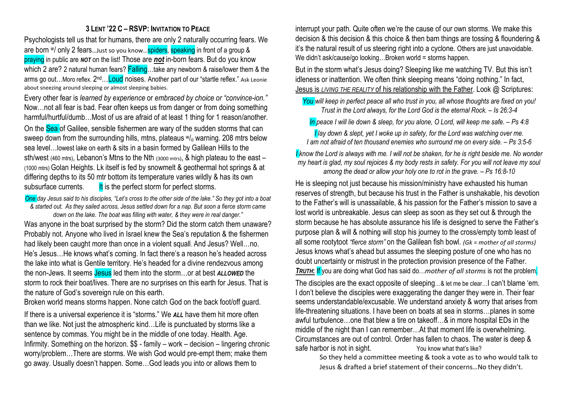### **3 LENT '22 C – RSVP: INVITATION TO PEACE**

Psychologists tell us that for humans, there are only 2 naturally occurring fears. We are born W/ only 2 fears... Just so you know... spiders, speaking in front of a group & praying in public are *NOT* on the list! Those are *not* in-born fears. But do you know which 2 are? 2 natural human fears? **Falling**...take any newborn & raise/lower them & the arms go out…Moro reflex. 2<sup>nd</sup>…<mark>Loud</mark> noises. Another part of our "startle reflex." Ask Leonie about sneezing around sleeping or almost sleeping babies.

Every other fear is *learned by experience* or *embraced by choice or "convince-ion."* Now…not all fear is bad. Fear often keeps us from danger or from doing something harmful/hurtful/dumb...Most of us are afraid of at least 1 thing for 1 reason/another. On the Sea of Galilee, sensible fishermen are wary of the sudden storms that can sweep down from the surrounding hills, mtns, plateaus  $w_0$  warning. 208 mtrs below sea level…lowest lake on earth & sits in a basin formed by Galilean Hills to the sth/west (460 mtrs), Lebanon's Mtns to the Nth (3000 mtrs), & high plateau to the east – (1000 mtrs) Golan Heights. Lk itself is fed by snowmelt & geothermal hot springs & at differing depths to its 50 mtr bottom its temperature varies wildly & has its own subsurface currents. It is the perfect storm for perfect storms.

*One day Jesus said to his disciples, "Let's cross to the other side of the lake." So they got into a boat & started out. As they sailed across, Jesus settled down for a nap. But soon a fierce storm came down on the lake. The boat was filling with water, & they were in real danger."*

Was anyone in the boat surprised by the storm? Did the storm catch them unaware? Probably not. Anyone who lived in Israel knew the Sea's reputation & the fishermen had likely been caught more than once in a violent squall. And Jesus? Well…no. He's Jesus…He knows what's coming. In fact there's a reason he's headed across the lake into what is Gentile territory. He's headed for a divine rendezvous among the non-Jews. It seems Jesus led them into the storm…or at best *ALLOWED* the storm to rock their boat/lives. There are no surprises on this earth for Jesus. That is the nature of God's sovereign rule on this earth.

Broken world means storms happen. None catch God on the back foot/off guard.

If there is a universal experience it is "storms." We *ALL* have them hit more often than we like. Not just the atmospheric kind…Life is punctuated by storms like a sentence by commas. You might be in the middle of one today. Health. Age. Infirmity. Something on the horizon. \$\$ - family – work – decision – lingering chronic worry/problem…There are storms. We wish God would pre-empt them; make them go away. Usually doesn't happen. Some…God leads you into or allows them to

interrupt your path. Quite often we're the cause of our own storms. We make this decision & this decision & this choice & then bam things are tossing & floundering & it's the natural result of us steering right into a cyclone. Others are just unavoidable. We didn't ask/cause/go looking...Broken world = storms happen.

But in the storm what's Jesus doing? Sleeping like me watching TV. But this isn't idleness or inattention. We often think sleeping means "doing nothing." In fact, Jesus is *LIVING THE REALITY* of his relationship with the Father. Look @ Scriptures:

*You will keep in perfect peace all who trust in you, all whose thoughts are fixed on you! Trust in the Lord always, for the Lord God is the eternal Rock. – Is 26:3-4*

*In peace I will lie down & sleep, for you alone, O Lord, will keep me safe. – Ps 4:8*

*I lay down & slept, yet I woke up in safety, for the Lord was watching over me. I am not afraid of ten thousand enemies who surround me on every side. – Ps 3:5-6*

*I know the Lord is always with me. I will not be shaken, for he is right beside me. No wonder my heart is glad, my soul rejoices & my body rests in safety. For you will not leave my soul among the dead or allow your holy one to rot in the grave. – Ps 16:8-10*

He is sleeping not just because his mission/ministry have exhausted his human reserves of strength, but because his trust in the Father is unshakable, his devotion to the Father's will is unassailable, & his passion for the Father's mission to save a lost world is unbreakable. Jesus can sleep as soon as they set out & through the storm because he has absolute assurance his life is designed to serve the Father's purpose plan & will & nothing will stop his journey to the cross/empty tomb least of all some rootytoot *"fierce storm"* on the Galilean fish bowl. *(Gk = mother of all storms)* Jesus knows what's ahead but assumes the sleeping posture of one who has no doubt uncertainty or mistrust in the protection provision presence of the Father. *TRUTH***:** If you are doing what God has said do…*mother of all storms* is not the problem.

The disciples are the exact opposite of sleeping…& let me be clear…I can't blame 'em. I don't believe the disciples were exaggerating the danger they were in. Their fear seems understandable/excusable. We understand anxiety & worry that arises from life-threatening situations. I have been on boats at sea in storms…planes in some awful turbulence…one that blew a tire on takeoff…& in more hospital EDs in the middle of the night than I can remember…At that moment life is overwhelming. Circumstances are out of control. Order has fallen to chaos. The water is deep & safe harbor is not in sight. You know what that's like?

So they held a committee meeting & took a vote as to who would talk to Jesus & drafted a brief statement of their concerns…No they didn't.